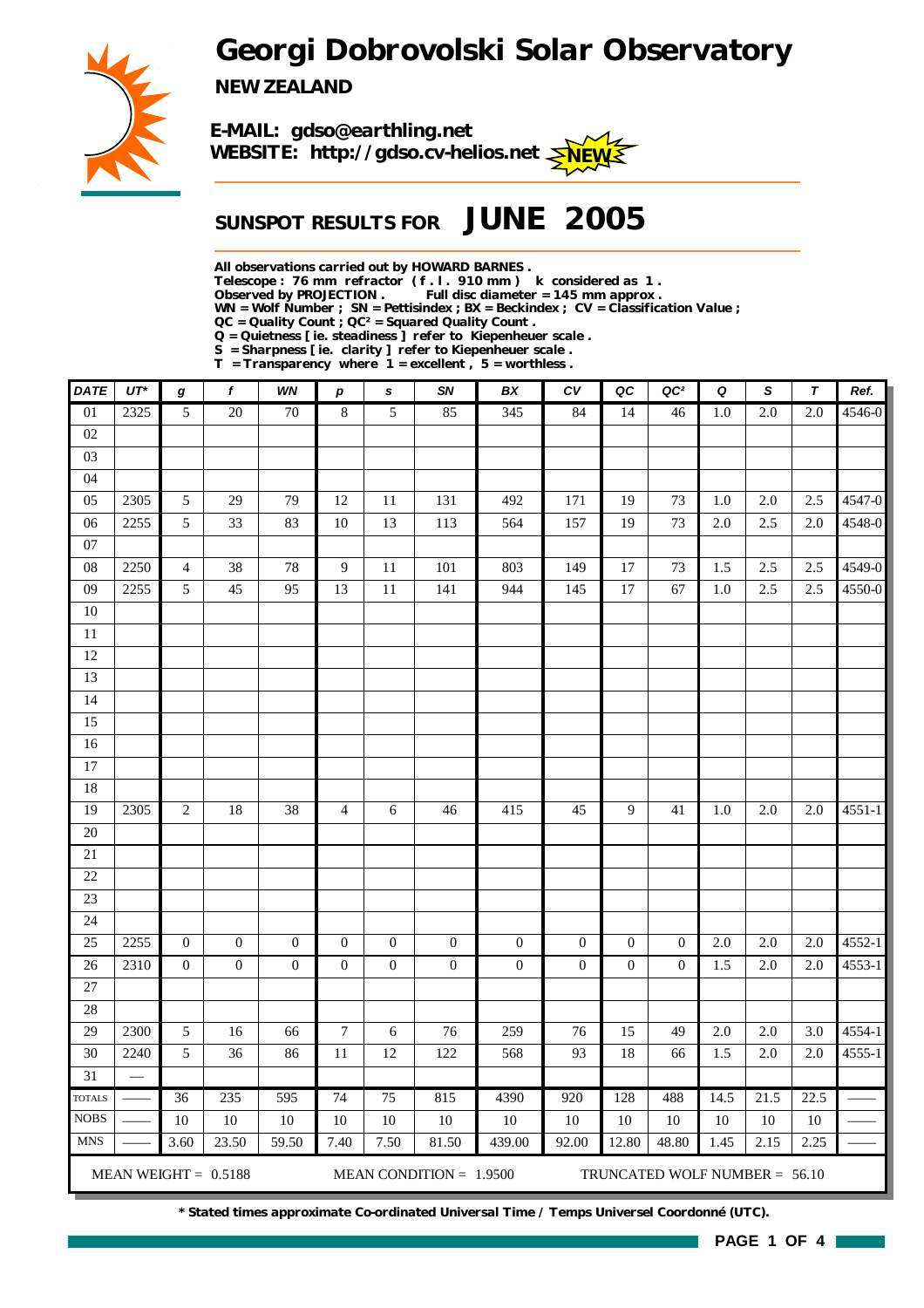*Georgi Dobrovolski Solar Observatory*



*NEW ZEALAND*



## *SUNSPOT RESULTS FOR JUNE 2005*

*All observations carried out by HOWARD BARNES .*

*Telescope : 76 mm refractor ( f . l . 910 mm ) k considered as 1 .*

Full disc diameter = 145 mm approx .

*WN = Wolf Number ; SN = Pettisindex ; BX = Beckindex ; CV = Classification Value ;*

*QC = Quality Count ; QC² = Squared Quality Count .*

*Q = Quietness [ ie. steadiness ] refer to Kiepenheuer scale .*

*S = Sharpness [ ie. clarity ] refer to Kiepenheuer scale . T = Transparency where 1 = excellent , 5 = worthless .*

| <b>DATE</b>     | $UT^*$ | g                | f                      | WN               | р                | s                | SN                        | BX               | ${\cal C}{\cal V}$ | QC               | QC <sup>2</sup>                 | Q       | S                | $\tau$  | Ref.       |
|-----------------|--------|------------------|------------------------|------------------|------------------|------------------|---------------------------|------------------|--------------------|------------------|---------------------------------|---------|------------------|---------|------------|
| $\overline{01}$ | 2325   | 5                | $\overline{20}$        | $\overline{70}$  | $\,8\,$          | 5                | 85                        | 345              | 84                 | 14               | 46                              | 1.0     | $\overline{2.0}$ | $2.0\,$ | 4546-0     |
| 02              |        |                  |                        |                  |                  |                  |                           |                  |                    |                  |                                 |         |                  |         |            |
| 03              |        |                  |                        |                  |                  |                  |                           |                  |                    |                  |                                 |         |                  |         |            |
| 04              |        |                  |                        |                  |                  |                  |                           |                  |                    |                  |                                 |         |                  |         |            |
| 05              | 2305   | 5                | 29                     | 79               | 12               | 11               | 131                       | 492              | 171                | 19               | 73                              | 1.0     | $2.0\,$          | 2.5     | 4547-0     |
| 06              | 2255   | $\sqrt{5}$       | 33                     | 83               | $10\,$           | 13               | 113                       | 564              | 157                | 19               | 73                              | $2.0\,$ | 2.5              | $2.0\,$ | 4548-0     |
| $07\,$          |        |                  |                        |                  |                  |                  |                           |                  |                    |                  |                                 |         |                  |         |            |
| ${\bf 08}$      | 2250   | $\overline{4}$   | 38                     | 78               | 9                | 11               | 101                       | 803              | 149                | 17               | 73                              | 1.5     | 2.5              | 2.5     | 4549-0     |
| 09              | 2255   | 5                | 45                     | 95               | 13               | 11               | 141                       | 944              | 145                | 17               | 67                              | 1.0     | 2.5              | 2.5     | 4550-0     |
| $10\,$          |        |                  |                        |                  |                  |                  |                           |                  |                    |                  |                                 |         |                  |         |            |
| $11\,$          |        |                  |                        |                  |                  |                  |                           |                  |                    |                  |                                 |         |                  |         |            |
| 12              |        |                  |                        |                  |                  |                  |                           |                  |                    |                  |                                 |         |                  |         |            |
| 13              |        |                  |                        |                  |                  |                  |                           |                  |                    |                  |                                 |         |                  |         |            |
| 14              |        |                  |                        |                  |                  |                  |                           |                  |                    |                  |                                 |         |                  |         |            |
| 15              |        |                  |                        |                  |                  |                  |                           |                  |                    |                  |                                 |         |                  |         |            |
| 16              |        |                  |                        |                  |                  |                  |                           |                  |                    |                  |                                 |         |                  |         |            |
| $17\,$          |        |                  |                        |                  |                  |                  |                           |                  |                    |                  |                                 |         |                  |         |            |
| 18              |        |                  |                        |                  |                  |                  |                           |                  |                    |                  |                                 |         |                  |         |            |
| 19              | 2305   | $\overline{c}$   | 18                     | 38               | $\overline{4}$   | 6                | 46                        | 415              | 45                 | 9                | 41                              | $1.0\,$ | $2.0\,$          | 2.0     | $4551 - 1$ |
| $20\,$          |        |                  |                        |                  |                  |                  |                           |                  |                    |                  |                                 |         |                  |         |            |
| $21\,$<br>22    |        |                  |                        |                  |                  |                  |                           |                  |                    |                  |                                 |         |                  |         |            |
| 23              |        |                  |                        |                  |                  |                  |                           |                  |                    |                  |                                 |         |                  |         |            |
| 24              |        |                  |                        |                  |                  |                  |                           |                  |                    |                  |                                 |         |                  |         |            |
| 25              | 2255   | $\boldsymbol{0}$ | $\boldsymbol{0}$       | $\boldsymbol{0}$ | $\boldsymbol{0}$ | $\boldsymbol{0}$ | $\boldsymbol{0}$          | $\boldsymbol{0}$ | $\boldsymbol{0}$   | $\boldsymbol{0}$ | $\mathbf{0}$                    | $2.0\,$ | $2.0\,$          | 2.0     | 4552-1     |
| 26              | 2310   | $\boldsymbol{0}$ | $\boldsymbol{0}$       | $\boldsymbol{0}$ | $\boldsymbol{0}$ | $\boldsymbol{0}$ | $\boldsymbol{0}$          | $\boldsymbol{0}$ | $\boldsymbol{0}$   | $\boldsymbol{0}$ | $\mathbf{0}$                    | 1.5     | $2.0\,$          | $2.0\,$ | 4553-1     |
| $27\,$          |        |                  |                        |                  |                  |                  |                           |                  |                    |                  |                                 |         |                  |         |            |
| 28              |        |                  |                        |                  |                  |                  |                           |                  |                    |                  |                                 |         |                  |         |            |
| 29              | 2300   | $\sqrt{5}$       | 16                     | 66               | $\boldsymbol{7}$ | 6                | 76                        | 259              | 76                 | 15               | 49                              | 2.0     | $2.0\,$          | 3.0     | 4554-1     |
| 30              | 2240   | 5                | 36                     | 86               | $11\,$           | 12               | 122                       | 568              | 93                 | 18               | 66                              | 1.5     | $2.0\,$          | $2.0$   | 4555-1     |
| 31              |        |                  |                        |                  |                  |                  |                           |                  |                    |                  |                                 |         |                  |         |            |
| <b>TOTALS</b>   |        | 36               | 235                    | 595              | 74               | 75               | 815                       | 4390             | 920                | 128              | 488                             | 14.5    | 21.5             | 22.5    |            |
| <b>NOBS</b>     |        | 10               | 10                     | $10\,$           | 10               | $10\,$           | 10                        | $10\,$           | $10\,$             | 10               | 10                              | 10      | 10               | 10      |            |
| <b>MNS</b>      |        | 3.60             | 23.50                  | 59.50            | 7.40             | 7.50             | 81.50                     | 439.00           | 92.00              | 12.80            | 48.80                           | 1.45    | 2.15             | 2.25    |            |
|                 |        |                  | MEAN WEIGHT = $0.5188$ |                  |                  |                  | MEAN CONDITION = $1.9500$ |                  |                    |                  | TRUNCATED WOLF NUMBER = $56.10$ |         |                  |         |            |

*\* Stated times approximate Co-ordinated Universal Time / Temps Universel Coordonné (UTC).*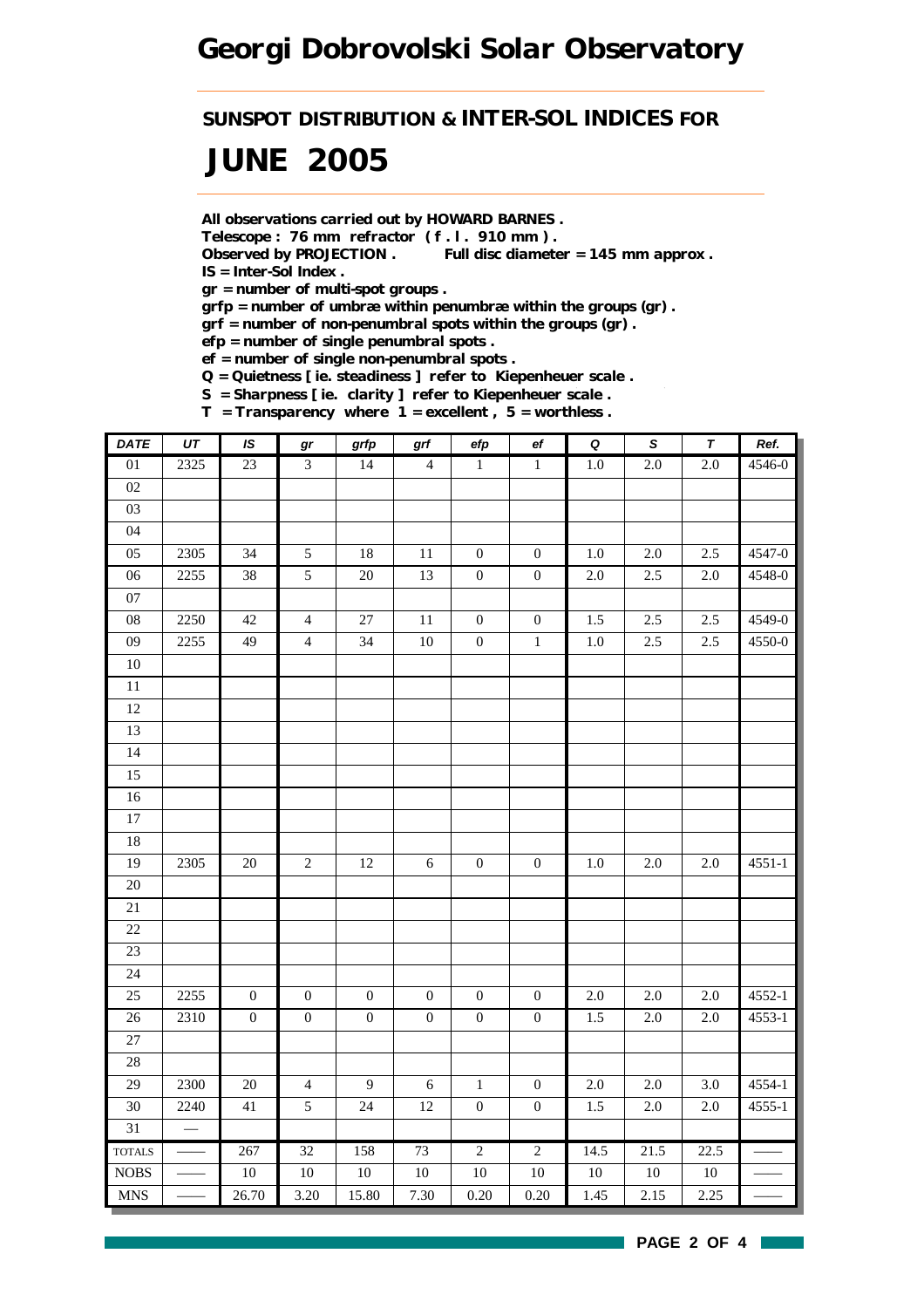*SUNSPOT DISTRIBUTION & INTER-SOL INDICES FOR*

# *JUNE 2005*

*All observations carried out by HOWARD BARNES .*

*Telescope : 76 mm refractor ( f . l . 910 mm ) .*

*Observed by PROJECTION . Full disc diameter = 145 mm approx . IS = Inter-Sol Index .*

*gr = number of multi-spot groups .*

*grfp = number of umbræ within penumbræ within the groups (gr) .*

*grf = number of non-penumbral spots within the groups (gr) .*

*efp = number of single penumbral spots .*

*ef = number of single non-penumbral spots .*

*Q = Quietness [ ie. steadiness ] refer to Kiepenheuer scale .*

*S = Sharpness [ ie. clarity ] refer to Kiepenheuer scale .*

*T = Transparency where 1 = excellent , 5 = worthless .*

| <b>DATE</b>     | $\overline{UT}$          | IS               | $\bm{gr}$        | grfp             | $\operatorname{\textsf{grf}}$ | efp              | $_{\rm ef}$      | $\overline{\mathbf{Q}}$ | $\overline{s}$ | $\pmb{\tau}$ | Ref.       |
|-----------------|--------------------------|------------------|------------------|------------------|-------------------------------|------------------|------------------|-------------------------|----------------|--------------|------------|
| 01              | $\overline{2325}$        | 23               | $\mathfrak{Z}$   | 14               | $\overline{4}$                | $\,1$            | $\,1\,$          | $1.0\,$                 | $2.0\,$        | 2.0          | 4546-0     |
| 02              |                          |                  |                  |                  |                               |                  |                  |                         |                |              |            |
| 03              |                          |                  |                  |                  |                               |                  |                  |                         |                |              |            |
| 04              |                          |                  |                  |                  |                               |                  |                  |                         |                |              |            |
| 05              | 2305                     | 34               | $\mathfrak{S}$   | $18\,$           | $11\,$                        | $\boldsymbol{0}$ | $\boldsymbol{0}$ | $1.0\,$                 | $2.0\,$        | $2.5\,$      | 4547-0     |
| 06              | 2255                     | 38               | $\overline{5}$   | 20               | 13                            | $\boldsymbol{0}$ | $\boldsymbol{0}$ | $2.0\,$                 | 2.5            | 2.0          | 4548-0     |
| 07              |                          |                  |                  |                  |                               |                  |                  |                         |                |              |            |
| $08\,$          | 2250                     | 42               | $\overline{4}$   | 27               | $11\,$                        | $\boldsymbol{0}$ | $\boldsymbol{0}$ | 1.5                     | 2.5            | 2.5          | 4549-0     |
| 09              | 2255                     | 49               | $\overline{4}$   | 34               | $10\,$                        | $\boldsymbol{0}$ | $\,1\,$          | $1.0\,$                 | 2.5            | 2.5          | 4550-0     |
| $10\,$          |                          |                  |                  |                  |                               |                  |                  |                         |                |              |            |
| 11              |                          |                  |                  |                  |                               |                  |                  |                         |                |              |            |
| 12              |                          |                  |                  |                  |                               |                  |                  |                         |                |              |            |
| 13              |                          |                  |                  |                  |                               |                  |                  |                         |                |              |            |
| 14              |                          |                  |                  |                  |                               |                  |                  |                         |                |              |            |
| 15              |                          |                  |                  |                  |                               |                  |                  |                         |                |              |            |
| $16\,$          |                          |                  |                  |                  |                               |                  |                  |                         |                |              |            |
| $\overline{17}$ |                          |                  |                  |                  |                               |                  |                  |                         |                |              |            |
| $18\,$          |                          |                  |                  |                  |                               |                  |                  |                         |                |              |            |
| 19              | 2305                     | $20\,$           | $\overline{c}$   | $12\,$           | $6\,$                         | $\boldsymbol{0}$ | $\boldsymbol{0}$ | $1.0\,$                 | $2.0\,$        | $2.0\,$      | $4551 - 1$ |
| $20\,$          |                          |                  |                  |                  |                               |                  |                  |                         |                |              |            |
| 21              |                          |                  |                  |                  |                               |                  |                  |                         |                |              |            |
| 22              |                          |                  |                  |                  |                               |                  |                  |                         |                |              |            |
| 23              |                          |                  |                  |                  |                               |                  |                  |                         |                |              |            |
| $24\,$          |                          |                  |                  |                  |                               |                  |                  |                         |                |              |            |
| 25              | 2255                     | $\boldsymbol{0}$ | $\boldsymbol{0}$ | $\boldsymbol{0}$ | $\boldsymbol{0}$              | $\boldsymbol{0}$ | $\boldsymbol{0}$ | $2.0\,$                 | $2.0\,$        | $2.0\,$      | 4552-1     |
| $26\,$          | 2310                     | $\boldsymbol{0}$ | $\boldsymbol{0}$ | $\boldsymbol{0}$ | $\boldsymbol{0}$              | $\boldsymbol{0}$ | $\boldsymbol{0}$ | 1.5                     | 2.0            | $2.0\,$      | 4553-1     |
| 27              |                          |                  |                  |                  |                               |                  |                  |                         |                |              |            |
| $28\,$          |                          |                  |                  |                  |                               |                  |                  |                         |                |              |            |
| 29              | 2300                     | $20\,$           | $\overline{4}$   | $\overline{9}$   | $\sqrt{6}$                    | $\,1\,$          | $\boldsymbol{0}$ | $2.0\,$                 | $2.0\,$        | 3.0          | 4554-1     |
| 30              | 2240                     | 41               | 5                | 24               | 12                            | $\boldsymbol{0}$ | $\boldsymbol{0}$ | 1.5                     | $2.0\,$        | $2.0\,$      | 4555-1     |
| 31              | $\overline{\phantom{m}}$ |                  |                  |                  |                               |                  |                  |                         |                |              |            |
| <b>TOTALS</b>   |                          | 267              | 32               | 158              | 73                            | $\overline{2}$   | $\overline{2}$   | 14.5                    | 21.5           | 22.5         |            |
| $\rm{NOBS}$     |                          | $10\,$           | $10\,$           | $10\,$           | $10\,$                        | $10\,$           | $10\,$           | $10\,$                  | $10\,$         | $10\,$       |            |
| <b>MNS</b>      |                          | 26.70            | 3.20             | 15.80            | 7.30                          | 0.20             | 0.20             | 1.45                    | 2.15           | 2.25         |            |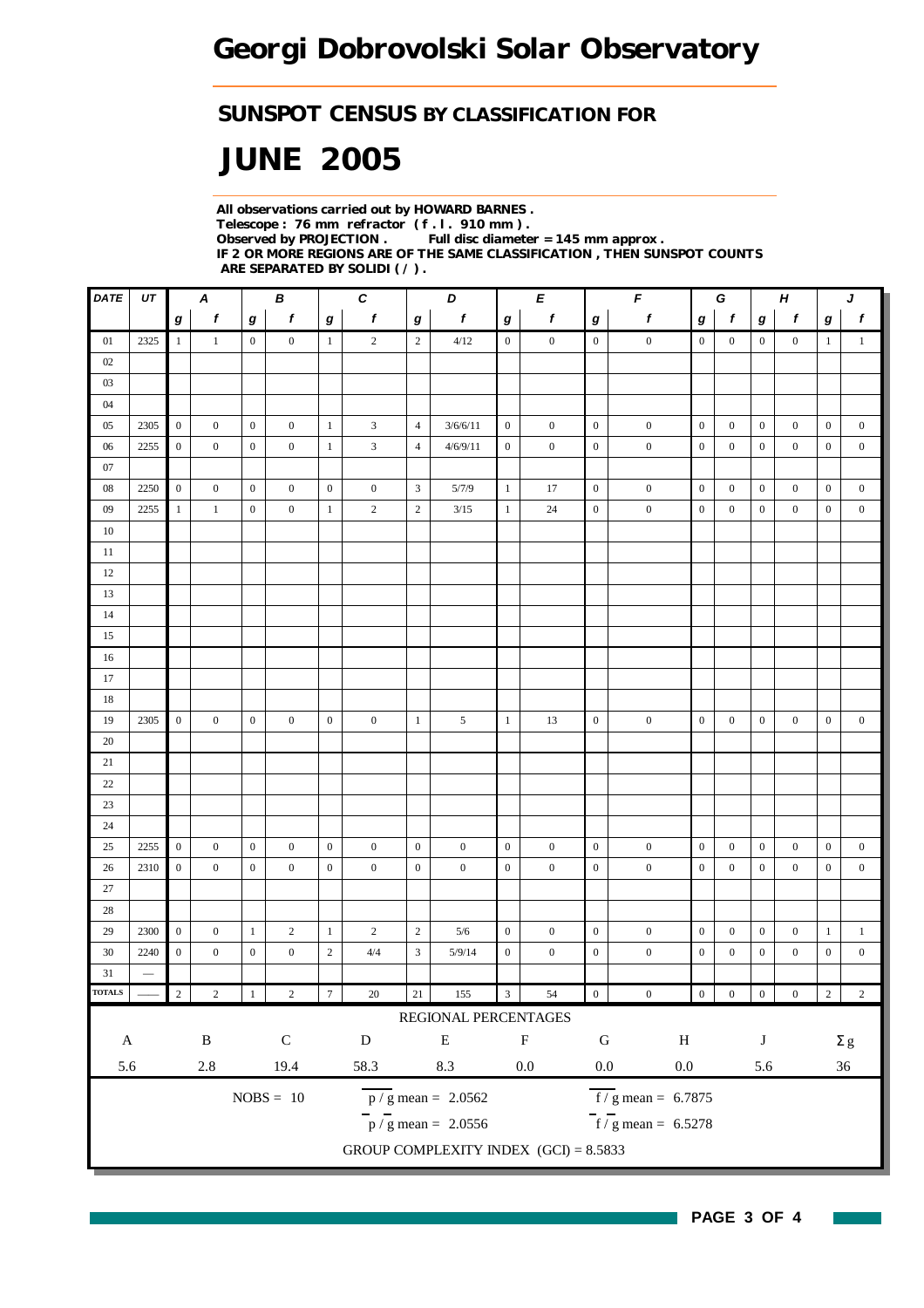### *SUNSPOT CENSUS BY CLASSIFICATION FOR*

# *JUNE 2005*

*All observations carried out by HOWARD BARNES . Telescope : 76 mm refractor ( f . l . 910 mm ) . Observed by PROJECTION . Full disc diameter = 145 mm approx . IF 2 OR MORE REGIONS ARE OF THE SAME CLASSIFICATION , THEN SUNSPOT COUNTS ARE SEPARATED BY SOLIDI ( / ) .*

| <b>DATE</b>            | UT              |                  | A                |                  | В                |                  | $\boldsymbol{c}$ |                  | D                                         |                         | E                |                  | F                                         | G<br>$\boldsymbol{H}$ |                  |                  | J                |                  |                  |
|------------------------|-----------------|------------------|------------------|------------------|------------------|------------------|------------------|------------------|-------------------------------------------|-------------------------|------------------|------------------|-------------------------------------------|-----------------------|------------------|------------------|------------------|------------------|------------------|
|                        |                 | $\bm{g}$         | $\boldsymbol{f}$ | $\boldsymbol{g}$ | $\boldsymbol{f}$ | $\bm{g}$         | $\boldsymbol{f}$ | $\boldsymbol{g}$ | $\pmb{f}$                                 | $\boldsymbol{g}$        | $\boldsymbol{f}$ | $\boldsymbol{g}$ | $\pmb{f}$                                 | $\boldsymbol{g}$      | $\boldsymbol{f}$ | $\bm{g}$         | $\pmb{f}$        | $\boldsymbol{g}$ | $\boldsymbol{f}$ |
| 01                     | 2325            | $\mathbf{1}$     | $\mathbf{1}$     | $\boldsymbol{0}$ | $\boldsymbol{0}$ | $\mathbf{1}$     | $\overline{2}$   | $\overline{c}$   | 4/12                                      | $\overline{0}$          | $\boldsymbol{0}$ | $\boldsymbol{0}$ | $\boldsymbol{0}$                          | $\boldsymbol{0}$      | $\boldsymbol{0}$ | $\overline{0}$   | $\overline{0}$   | $\mathbf{1}$     | $\mathbf{1}$     |
| 02                     |                 |                  |                  |                  |                  |                  |                  |                  |                                           |                         |                  |                  |                                           |                       |                  |                  |                  |                  |                  |
| 03                     |                 |                  |                  |                  |                  |                  |                  |                  |                                           |                         |                  |                  |                                           |                       |                  |                  |                  |                  |                  |
| $04$                   |                 |                  |                  |                  |                  |                  |                  |                  |                                           |                         |                  |                  |                                           |                       |                  |                  |                  |                  |                  |
| 05                     | 2305            | $\mathbf{0}$     | $\boldsymbol{0}$ | $\boldsymbol{0}$ | $\boldsymbol{0}$ | $\mathbf{1}$     | $\mathfrak{Z}$   | $\overline{4}$   | 3/6/6/11                                  | $\boldsymbol{0}$        | $\boldsymbol{0}$ | $\boldsymbol{0}$ | $\boldsymbol{0}$                          | $\boldsymbol{0}$      | $\boldsymbol{0}$ | $\boldsymbol{0}$ | $\mathbf{0}$     | $\boldsymbol{0}$ | $\boldsymbol{0}$ |
| 06                     | 2255            | $\boldsymbol{0}$ | $\boldsymbol{0}$ | $\boldsymbol{0}$ | $\mathbf{0}$     | $\mathbf{1}$     | $\mathfrak{Z}$   | $\overline{4}$   | 4/6/9/11                                  | $\boldsymbol{0}$        | $\mathbf{0}$     | $\boldsymbol{0}$ | $\boldsymbol{0}$                          | $\overline{0}$        | $\mathbf{0}$     | $\boldsymbol{0}$ | $\boldsymbol{0}$ | $\mathbf{0}$     | $\boldsymbol{0}$ |
| 07                     |                 |                  |                  |                  |                  |                  |                  |                  |                                           |                         |                  |                  |                                           |                       |                  |                  |                  |                  |                  |
| ${\bf 08}$             | 2250            | $\boldsymbol{0}$ | $\boldsymbol{0}$ | $\boldsymbol{0}$ | $\boldsymbol{0}$ | $\boldsymbol{0}$ | $\boldsymbol{0}$ | $\sqrt{3}$       | 5/7/9                                     | $\mathbf{1}$            | 17               | $\boldsymbol{0}$ | $\boldsymbol{0}$                          | $\mathbf{0}$          | $\boldsymbol{0}$ | $\boldsymbol{0}$ | $\boldsymbol{0}$ | $\mathbf{0}$     | $\boldsymbol{0}$ |
| 09                     | 2255            | $\mathbf{1}$     | $\mathbf{1}$     | $\boldsymbol{0}$ | $\boldsymbol{0}$ | $\mathbf{1}$     | $\overline{c}$   | $\sqrt{2}$       | 3/15                                      | $\mathbf{1}$            | $24\,$           | $\mathbf{0}$     | $\boldsymbol{0}$                          | $\mathbf{0}$          | $\boldsymbol{0}$ | $\bf{0}$         | $\boldsymbol{0}$ | $\boldsymbol{0}$ | $\boldsymbol{0}$ |
| $10\,$                 |                 |                  |                  |                  |                  |                  |                  |                  |                                           |                         |                  |                  |                                           |                       |                  |                  |                  |                  |                  |
| 11                     |                 |                  |                  |                  |                  |                  |                  |                  |                                           |                         |                  |                  |                                           |                       |                  |                  |                  |                  |                  |
| 12                     |                 |                  |                  |                  |                  |                  |                  |                  |                                           |                         |                  |                  |                                           |                       |                  |                  |                  |                  |                  |
| 13                     |                 |                  |                  |                  |                  |                  |                  |                  |                                           |                         |                  |                  |                                           |                       |                  |                  |                  |                  |                  |
| 14                     |                 |                  |                  |                  |                  |                  |                  |                  |                                           |                         |                  |                  |                                           |                       |                  |                  |                  |                  |                  |
| 15                     |                 |                  |                  |                  |                  |                  |                  |                  |                                           |                         |                  |                  |                                           |                       |                  |                  |                  |                  |                  |
| 16                     |                 |                  |                  |                  |                  |                  |                  |                  |                                           |                         |                  |                  |                                           |                       |                  |                  |                  |                  |                  |
| 17                     |                 |                  |                  |                  |                  |                  |                  |                  |                                           |                         |                  |                  |                                           |                       |                  |                  |                  |                  |                  |
| 18                     |                 |                  |                  |                  |                  |                  |                  |                  |                                           |                         |                  |                  |                                           |                       |                  |                  |                  |                  |                  |
| 19                     | 2305            | $\overline{0}$   | $\boldsymbol{0}$ | $\boldsymbol{0}$ | $\boldsymbol{0}$ | $\overline{0}$   | $\boldsymbol{0}$ | $\mathbf{1}$     | 5                                         | $\mathbf{1}$            | 13               | $\boldsymbol{0}$ | $\boldsymbol{0}$                          | $\boldsymbol{0}$      | $\boldsymbol{0}$ | $\boldsymbol{0}$ | $\boldsymbol{0}$ | $\boldsymbol{0}$ | $\boldsymbol{0}$ |
| 20                     |                 |                  |                  |                  |                  |                  |                  |                  |                                           |                         |                  |                  |                                           |                       |                  |                  |                  |                  |                  |
| 21                     |                 |                  |                  |                  |                  |                  |                  |                  |                                           |                         |                  |                  |                                           |                       |                  |                  |                  |                  |                  |
| 22                     |                 |                  |                  |                  |                  |                  |                  |                  |                                           |                         |                  |                  |                                           |                       |                  |                  |                  |                  |                  |
| 23                     |                 |                  |                  |                  |                  |                  |                  |                  |                                           |                         |                  |                  |                                           |                       |                  |                  |                  |                  |                  |
| 24                     |                 |                  |                  |                  |                  |                  |                  |                  |                                           |                         |                  |                  |                                           |                       |                  |                  |                  |                  |                  |
| 25                     | 2255            | $\boldsymbol{0}$ | $\boldsymbol{0}$ | $\boldsymbol{0}$ | $\boldsymbol{0}$ | $\boldsymbol{0}$ | $\boldsymbol{0}$ | $\boldsymbol{0}$ | $\boldsymbol{0}$                          | $\boldsymbol{0}$        | $\bf{0}$         | $\boldsymbol{0}$ | $\boldsymbol{0}$                          | $\boldsymbol{0}$      | $\mathbf{0}$     | $\boldsymbol{0}$ | $\mathbf{0}$     | $\boldsymbol{0}$ | $\boldsymbol{0}$ |
| $26\,$                 | 2310            | $\boldsymbol{0}$ | $\boldsymbol{0}$ | $\boldsymbol{0}$ | $\boldsymbol{0}$ | $\overline{0}$   | $\boldsymbol{0}$ | $\boldsymbol{0}$ | $\boldsymbol{0}$                          | $\boldsymbol{0}$        | $\boldsymbol{0}$ | $\boldsymbol{0}$ | $\boldsymbol{0}$                          | $\boldsymbol{0}$      | $\boldsymbol{0}$ | $\boldsymbol{0}$ | $\boldsymbol{0}$ | $\boldsymbol{0}$ | $\boldsymbol{0}$ |
| $27\,$                 |                 |                  |                  |                  |                  |                  |                  |                  |                                           |                         |                  |                  |                                           |                       |                  |                  |                  |                  |                  |
| 28                     |                 |                  |                  |                  |                  |                  |                  |                  |                                           |                         |                  |                  |                                           |                       |                  |                  |                  |                  |                  |
| 29                     | 2300            | $\boldsymbol{0}$ | $\boldsymbol{0}$ | $\mathbf{1}$     | $\overline{c}$   | $\mathbf{1}$     | $\overline{c}$   | $\sqrt{2}$       | $5/6$                                     | $\boldsymbol{0}$        | $\boldsymbol{0}$ | $\mathbf{0}$     | $\boldsymbol{0}$                          | $\boldsymbol{0}$      | $\boldsymbol{0}$ | $\boldsymbol{0}$ | $\boldsymbol{0}$ | $\mathbf{1}$     | $\mathbf{1}$     |
| 30                     | 2240            | $\boldsymbol{0}$ | $\boldsymbol{0}$ | $\boldsymbol{0}$ | $\boldsymbol{0}$ | $\overline{2}$   | $4\sqrt{4}$      | $\sqrt{3}$       | 5/9/14                                    | $\boldsymbol{0}$        | $\boldsymbol{0}$ | $\boldsymbol{0}$ | $\boldsymbol{0}$                          | $\boldsymbol{0}$      | $\boldsymbol{0}$ | $\boldsymbol{0}$ | $\boldsymbol{0}$ | $\boldsymbol{0}$ | $\boldsymbol{0}$ |
| 31                     | $\qquad \qquad$ |                  |                  |                  |                  |                  |                  |                  |                                           |                         |                  |                  |                                           |                       |                  |                  |                  |                  |                  |
| <b>TOTALS</b>          |                 | $\sqrt{2}$       | $\,2$            |                  | $\sqrt{2}$       | $\overline{7}$   | $20\,$           | $21\,$           | 155                                       | $\overline{\mathbf{3}}$ | 54               | $\boldsymbol{0}$ | $\boldsymbol{0}$                          | $\overline{0}$        | $\boldsymbol{0}$ | $\boldsymbol{0}$ | $\boldsymbol{0}$ | $\overline{2}$   | $\sqrt{2}$       |
|                        |                 |                  |                  |                  |                  |                  |                  |                  | REGIONAL PERCENTAGES                      |                         |                  |                  |                                           |                       |                  |                  |                  |                  |                  |
| $\mathbf{A}$           |                 |                  | $\, {\bf B}$     |                  | ${\bf C}$        |                  | ${\bf D}$        |                  | ${\bf E}$                                 |                         | $\mathbf F$      | ${\bf G}$        | $\, {\rm H}$                              |                       |                  | J                |                  |                  | $\Sigma$ g       |
| 5.6<br>$2.8\,$<br>19.4 |                 |                  | 58.3             |                  | 8.3              |                  | $0.0\,$          | $0.0\,$          | $0.0\,$                                   |                         |                  | 5.6<br>$36\,$    |                                           |                       |                  |                  |                  |                  |                  |
|                        |                 |                  |                  |                  |                  |                  |                  |                  |                                           |                         |                  |                  |                                           |                       |                  |                  |                  |                  |                  |
|                        |                 |                  |                  |                  | $NOBS = 10$      |                  |                  |                  | $\frac{\text{p}}{\text{s}}$ mean = 2.0562 |                         |                  |                  | $\overline{f}/\overline{g}$ mean = 6.7875 |                       |                  |                  |                  |                  |                  |
|                        |                 |                  |                  |                  |                  |                  |                  |                  | $\frac{1}{p}$ / g mean = 2.0556           |                         |                  |                  | $\frac{1}{\sqrt{5}}$ mean = 6.5278        |                       |                  |                  |                  |                  |                  |
|                        |                 |                  |                  |                  |                  |                  |                  |                  | GROUP COMPLEXITY INDEX $(GCI) = 8.5833$   |                         |                  |                  |                                           |                       |                  |                  |                  |                  |                  |